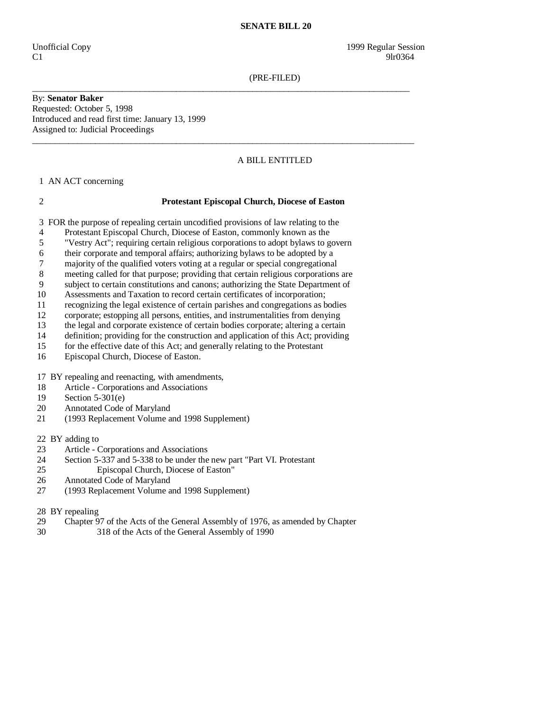(PRE-FILED)

By: **Senator Baker**  Requested: October 5, 1998 Introduced and read first time: January 13, 1999 Assigned to: Judicial Proceedings

# A BILL ENTITLED

1 AN ACT concerning

### 2 **Protestant Episcopal Church, Diocese of Easton**

\_\_\_\_\_\_\_\_\_\_\_\_\_\_\_\_\_\_\_\_\_\_\_\_\_\_\_\_\_\_\_\_\_\_\_\_\_\_\_\_\_\_\_\_\_\_\_\_\_\_\_\_\_\_\_\_\_\_\_\_\_\_\_\_\_\_\_\_\_\_\_\_\_\_\_\_\_\_\_\_\_\_\_\_

 $\_$  ,  $\_$  ,  $\_$  ,  $\_$  ,  $\_$  ,  $\_$  ,  $\_$  ,  $\_$  ,  $\_$  ,  $\_$  ,  $\_$  ,  $\_$  ,  $\_$  ,  $\_$  ,  $\_$  ,  $\_$  ,  $\_$  ,  $\_$  ,  $\_$  ,  $\_$  ,  $\_$  ,  $\_$  ,  $\_$  ,  $\_$  ,  $\_$  ,  $\_$  ,  $\_$  ,  $\_$  ,  $\_$  ,  $\_$  ,  $\_$  ,  $\_$  ,  $\_$  ,  $\_$  ,  $\_$  ,  $\_$  ,  $\_$  ,

3 FOR the purpose of repealing certain uncodified provisions of law relating to the

- 4 Protestant Episcopal Church, Diocese of Easton, commonly known as the
- 5 "Vestry Act"; requiring certain religious corporations to adopt bylaws to govern
- 6 their corporate and temporal affairs; authorizing bylaws to be adopted by a
- 7 majority of the qualified voters voting at a regular or special congregational
- 8 meeting called for that purpose; providing that certain religious corporations are
- 9 subject to certain constitutions and canons; authorizing the State Department of
- 10 Assessments and Taxation to record certain certificates of incorporation;
- 11 recognizing the legal existence of certain parishes and congregations as bodies
- 12 corporate; estopping all persons, entities, and instrumentalities from denying
- 13 the legal and corporate existence of certain bodies corporate; altering a certain definition; providing for the construction and application of this Act: providing
- 14 definition; providing for the construction and application of this Act; providing<br>15 for the effective date of this Act; and generally relating to the Protestant
- for the effective date of this Act; and generally relating to the Protestant
- 16 Episcopal Church, Diocese of Easton.
- 17 BY repealing and reenacting, with amendments,
- 18 Article Corporations and Associations
- 19 Section 5-301(e)
- 20 Annotated Code of Maryland
- 21 (1993 Replacement Volume and 1998 Supplement)

22 BY adding to

- 23 Article Corporations and Associations
- 24 Section 5-337 and 5-338 to be under the new part "Part VI. Protestant 25 Episcopal Church, Diocese of Easton"
- 25 Episcopal Church, Diocese of Easton"
- 26 Annotated Code of Maryland
- 27 (1993 Replacement Volume and 1998 Supplement)

28 BY repealing

- 29 Chapter 97 of the Acts of the General Assembly of 1976, as amended by Chapter
- 30 318 of the Acts of the General Assembly of 1990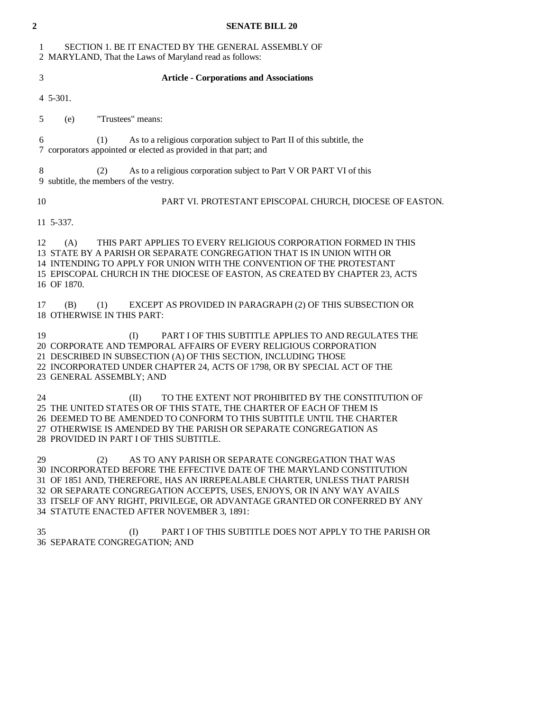| $\overline{2}$ | <b>SENATE BILL 20</b>                                                                                                                                                                                                                                                                                                                                                                                                     |
|----------------|---------------------------------------------------------------------------------------------------------------------------------------------------------------------------------------------------------------------------------------------------------------------------------------------------------------------------------------------------------------------------------------------------------------------------|
| 1              | SECTION 1. BE IT ENACTED BY THE GENERAL ASSEMBLY OF<br>2 MARYLAND, That the Laws of Maryland read as follows:                                                                                                                                                                                                                                                                                                             |
| $\mathfrak{Z}$ | <b>Article - Corporations and Associations</b>                                                                                                                                                                                                                                                                                                                                                                            |
|                | 4 5-301.                                                                                                                                                                                                                                                                                                                                                                                                                  |
| 5              | "Trustees" means:<br>(e)                                                                                                                                                                                                                                                                                                                                                                                                  |
| 6              | As to a religious corporation subject to Part II of this subtitle, the<br>(1)<br>7 corporators appointed or elected as provided in that part; and                                                                                                                                                                                                                                                                         |
| 8              | As to a religious corporation subject to Part V OR PART VI of this<br>(2)<br>9 subtitle, the members of the vestry.                                                                                                                                                                                                                                                                                                       |
| 10             | PART VI. PROTESTANT EPISCOPAL CHURCH, DIOCESE OF EASTON.                                                                                                                                                                                                                                                                                                                                                                  |
|                | 11 5-337.                                                                                                                                                                                                                                                                                                                                                                                                                 |
| 12             | THIS PART APPLIES TO EVERY RELIGIOUS CORPORATION FORMED IN THIS<br>(A)<br>13 STATE BY A PARISH OR SEPARATE CONGREGATION THAT IS IN UNION WITH OR<br>14 INTENDING TO APPLY FOR UNION WITH THE CONVENTION OF THE PROTESTANT<br>15 EPISCOPAL CHURCH IN THE DIOCESE OF EASTON, AS CREATED BY CHAPTER 23, ACTS<br>16 OF 1870.                                                                                                  |
| 17             | EXCEPT AS PROVIDED IN PARAGRAPH (2) OF THIS SUBSECTION OR<br>(B)<br>(1)<br>18 OTHERWISE IN THIS PART:                                                                                                                                                                                                                                                                                                                     |
| 19             | PART I OF THIS SUBTITLE APPLIES TO AND REGULATES THE<br>(I)<br>20 CORPORATE AND TEMPORAL AFFAIRS OF EVERY RELIGIOUS CORPORATION<br>21 DESCRIBED IN SUBSECTION (A) OF THIS SECTION, INCLUDING THOSE<br>22 INCORPORATED UNDER CHAPTER 24, ACTS OF 1798, OR BY SPECIAL ACT OF THE<br>23 GENERAL ASSEMBLY; AND                                                                                                                |
| 24             | (II)<br>TO THE EXTENT NOT PROHIBITED BY THE CONSTITUTION OF<br>25 THE UNITED STATES OR OF THIS STATE, THE CHARTER OF EACH OF THEM IS<br>26 DEEMED TO BE AMENDED TO CONFORM TO THIS SUBTITLE UNTIL THE CHARTER<br>27 OTHERWISE IS AMENDED BY THE PARISH OR SEPARATE CONGREGATION AS<br>28 PROVIDED IN PART I OF THIS SUBTITLE.                                                                                             |
| 29             | (2)<br>AS TO ANY PARISH OR SEPARATE CONGREGATION THAT WAS<br>30 INCORPORATED BEFORE THE EFFECTIVE DATE OF THE MARYLAND CONSTITUTION<br>31 OF 1851 AND, THEREFORE, HAS AN IRREPEALABLE CHARTER, UNLESS THAT PARISH<br>32 OR SEPARATE CONGREGATION ACCEPTS, USES, ENJOYS, OR IN ANY WAY AVAILS<br>33 ITSELF OF ANY RIGHT, PRIVILEGE, OR ADVANTAGE GRANTED OR CONFERRED BY ANY<br>34 STATUTE ENACTED AFTER NOVEMBER 3, 1891: |
| 35             | (I)<br>PART I OF THIS SUBTITLE DOES NOT APPLY TO THE PARISH OR<br>36 SEPARATE CONGREGATION; AND                                                                                                                                                                                                                                                                                                                           |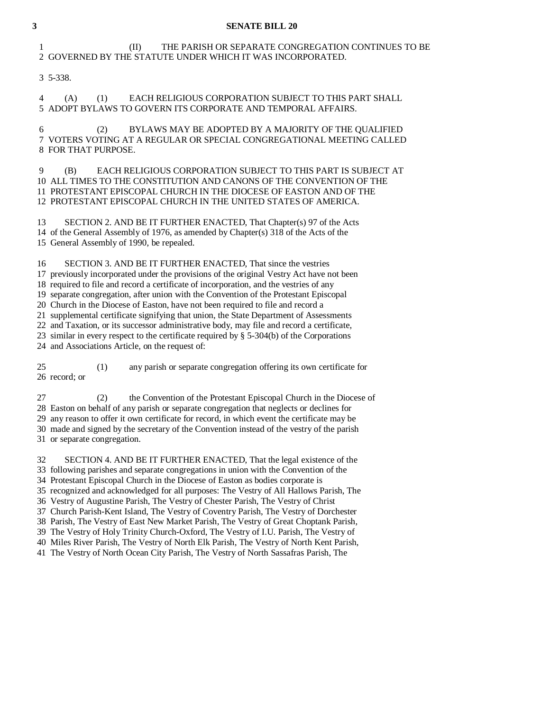#### **3 SENATE BILL 20**

# 1 (II) THE PARISH OR SEPARATE CONGREGATION CONTINUES TO BE 2 GOVERNED BY THE STATUTE UNDER WHICH IT WAS INCORPORATED.

3 5-338.

 4 (A) (1) EACH RELIGIOUS CORPORATION SUBJECT TO THIS PART SHALL 5 ADOPT BYLAWS TO GOVERN ITS CORPORATE AND TEMPORAL AFFAIRS.

 6 (2) BYLAWS MAY BE ADOPTED BY A MAJORITY OF THE QUALIFIED 7 VOTERS VOTING AT A REGULAR OR SPECIAL CONGREGATIONAL MEETING CALLED 8 FOR THAT PURPOSE.

 9 (B) EACH RELIGIOUS CORPORATION SUBJECT TO THIS PART IS SUBJECT AT 10 ALL TIMES TO THE CONSTITUTION AND CANONS OF THE CONVENTION OF THE 11 PROTESTANT EPISCOPAL CHURCH IN THE DIOCESE OF EASTON AND OF THE 12 PROTESTANT EPISCOPAL CHURCH IN THE UNITED STATES OF AMERICA.

 13 SECTION 2. AND BE IT FURTHER ENACTED, That Chapter(s) 97 of the Acts 14 of the General Assembly of 1976, as amended by Chapter(s) 318 of the Acts of the 15 General Assembly of 1990, be repealed.

 16 SECTION 3. AND BE IT FURTHER ENACTED, That since the vestries 17 previously incorporated under the provisions of the original Vestry Act have not been 18 required to file and record a certificate of incorporation, and the vestries of any 19 separate congregation, after union with the Convention of the Protestant Episcopal 20 Church in the Diocese of Easton, have not been required to file and record a 21 supplemental certificate signifying that union, the State Department of Assessments 22 and Taxation, or its successor administrative body, may file and record a certificate, 23 similar in every respect to the certificate required by § 5-304(b) of the Corporations 24 and Associations Article, on the request of:

 25 (1) any parish or separate congregation offering its own certificate for 26 record; or

 27 (2) the Convention of the Protestant Episcopal Church in the Diocese of 28 Easton on behalf of any parish or separate congregation that neglects or declines for 29 any reason to offer it own certificate for record, in which event the certificate may be 30 made and signed by the secretary of the Convention instead of the vestry of the parish 31 or separate congregation.

 32 SECTION 4. AND BE IT FURTHER ENACTED, That the legal existence of the 33 following parishes and separate congregations in union with the Convention of the 34 Protestant Episcopal Church in the Diocese of Easton as bodies corporate is 35 recognized and acknowledged for all purposes: The Vestry of All Hallows Parish, The 36 Vestry of Augustine Parish, The Vestry of Chester Parish, The Vestry of Christ 37 Church Parish-Kent Island, The Vestry of Coventry Parish, The Vestry of Dorchester 38 Parish, The Vestry of East New Market Parish, The Vestry of Great Choptank Parish, 39 The Vestry of Holy Trinity Church-Oxford, The Vestry of I.U. Parish, The Vestry of 40 Miles River Parish, The Vestry of North Elk Parish, The Vestry of North Kent Parish, 41 The Vestry of North Ocean City Parish, The Vestry of North Sassafras Parish, The